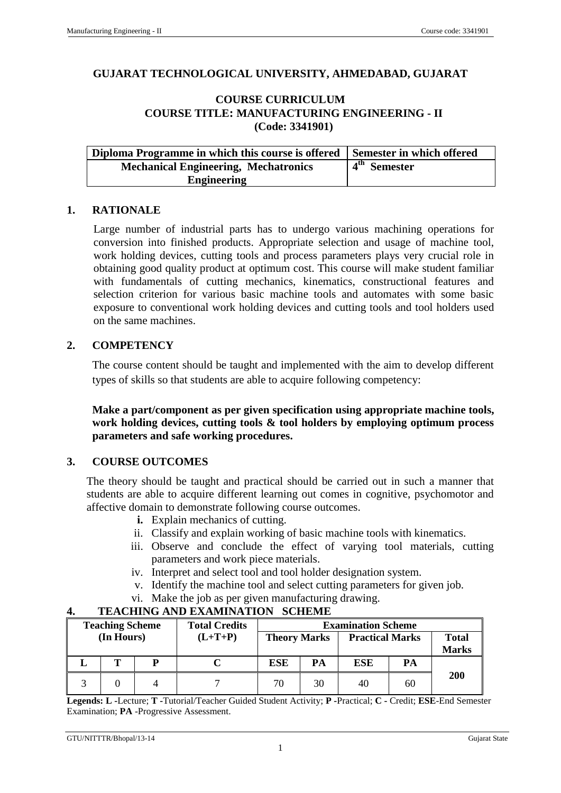### **GUJARAT TECHNOLOGICAL UNIVERSITY, AHMEDABAD, GUJARAT**

## **COURSE CURRICULUM COURSE TITLE: MANUFACTURING ENGINEERING - II (Code: 3341901)**

| Diploma Programme in which this course is offered Semester in which offered |                          |
|-----------------------------------------------------------------------------|--------------------------|
| <b>Mechanical Engineering, Mechatronics</b>                                 | 4 <sup>th</sup> Semester |
| <b>Engineering</b>                                                          |                          |

#### **1. RATIONALE**

Large number of industrial parts has to undergo various machining operations for conversion into finished products. Appropriate selection and usage of machine tool, work holding devices, cutting tools and process parameters plays very crucial role in obtaining good quality product at optimum cost. This course will make student familiar with fundamentals of cutting mechanics, kinematics, constructional features and selection criterion for various basic machine tools and automates with some basic exposure to conventional work holding devices and cutting tools and tool holders used on the same machines.

### **2. COMPETENCY**

The course content should be taught and implemented with the aim to develop different types of skills so that students are able to acquire following competency:

**Make a part/component as per given specification using appropriate machine tools, work holding devices, cutting tools & tool holders by employing optimum process parameters and safe working procedures.**

### **3. COURSE OUTCOMES**

The theory should be taught and practical should be carried out in such a manner that students are able to acquire different learning out comes in cognitive, psychomotor and affective domain to demonstrate following course outcomes.

- **i.** Explain mechanics of cutting.
- ii. Classify and explain working of basic machine tools with kinematics.
- iii. Observe and conclude the effect of varying tool materials, cutting parameters and work piece materials.
- iv. Interpret and select tool and tool holder designation system.
- v. Identify the machine tool and select cutting parameters for given job.
- vi. Make the job as per given manufacturing drawing.

| <b>Teaching Scheme</b> |            | <b>Total Credits</b> | <b>Examination Scheme</b> |                     |    |                        |    |                              |
|------------------------|------------|----------------------|---------------------------|---------------------|----|------------------------|----|------------------------------|
|                        | (In Hours) |                      | $(L+T+P)$                 | <b>Theory Marks</b> |    | <b>Practical Marks</b> |    | <b>Total</b><br><b>Marks</b> |
|                        | m          | D                    |                           | ESE                 | PA | <b>ESE</b>             | PA |                              |
|                        |            |                      |                           | 70                  | 30 | 40                     | 60 | <b>200</b>                   |

# **4. TEACHING AND EXAMINATION SCHEME**

**Legends: L -**Lecture; **T -**Tutorial/Teacher Guided Student Activity; **P -**Practical; **C -** Credit; **ESE**-End Semester Examination; **PA** -Progressive Assessment.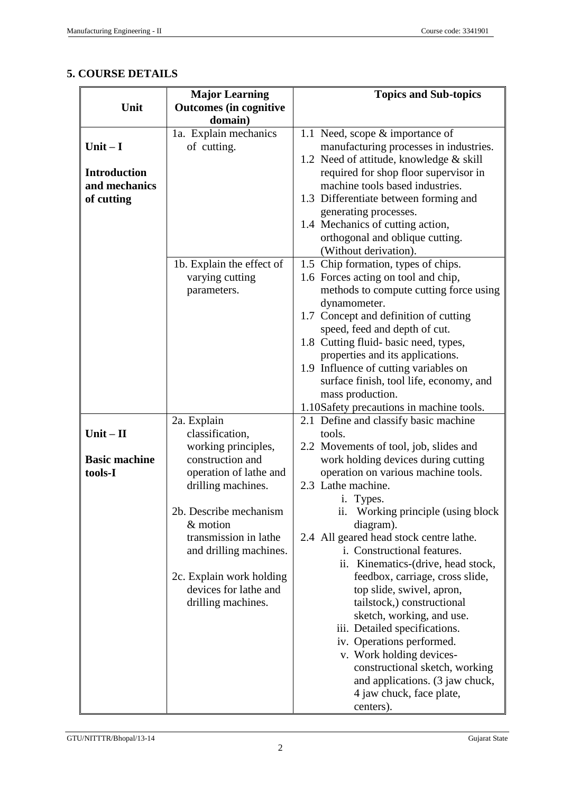# **5. COURSE DETAILS**

|                      | <b>Major Learning</b>          | <b>Topics and Sub-topics</b>                    |
|----------------------|--------------------------------|-------------------------------------------------|
| Unit                 | <b>Outcomes (in cognitive</b>  |                                                 |
|                      | domain)                        |                                                 |
|                      | 1a. Explain mechanics          | 1.1 Need, scope & importance of                 |
| Unit $-I$            | of cutting.                    | manufacturing processes in industries.          |
|                      |                                | 1.2 Need of attitude, knowledge & skill         |
| <b>Introduction</b>  |                                | required for shop floor supervisor in           |
| and mechanics        |                                | machine tools based industries.                 |
| of cutting           |                                | 1.3 Differentiate between forming and           |
|                      |                                | generating processes.                           |
|                      |                                | 1.4 Mechanics of cutting action,                |
|                      |                                | orthogonal and oblique cutting.                 |
|                      |                                | (Without derivation).                           |
|                      | 1b. Explain the effect of      | 1.5 Chip formation, types of chips.             |
|                      | varying cutting                | 1.6 Forces acting on tool and chip,             |
|                      | parameters.                    | methods to compute cutting force using          |
|                      |                                | dynamometer.                                    |
|                      |                                | 1.7 Concept and definition of cutting           |
|                      |                                | speed, feed and depth of cut.                   |
|                      |                                | 1.8 Cutting fluid-basic need, types,            |
|                      |                                | properties and its applications.                |
|                      |                                | 1.9 Influence of cutting variables on           |
|                      |                                | surface finish, tool life, economy, and         |
|                      |                                | mass production.                                |
|                      |                                | 1.10Safety precautions in machine tools.        |
| $Unit - II$          | 2a. Explain<br>classification, | 2.1 Define and classify basic machine<br>tools. |
|                      | working principles,            | 2.2 Movements of tool, job, slides and          |
| <b>Basic machine</b> | construction and               | work holding devices during cutting             |
| tools-I              | operation of lathe and         | operation on various machine tools.             |
|                      | drilling machines.             | 2.3 Lathe machine.                              |
|                      |                                | i. Types.                                       |
|                      | 2b. Describe mechanism         | Working principle (using block<br>11.           |
|                      | & motion                       | diagram).                                       |
|                      | transmission in lathe          | 2.4 All geared head stock centre lathe.         |
|                      | and drilling machines.         | i. Constructional features.                     |
|                      |                                | ii. Kinematics-(drive, head stock,              |
|                      | 2c. Explain work holding       | feedbox, carriage, cross slide,                 |
|                      | devices for lathe and          | top slide, swivel, apron,                       |
|                      | drilling machines.             | tailstock,) constructional                      |
|                      |                                | sketch, working, and use.                       |
|                      |                                | iii. Detailed specifications.                   |
|                      |                                | iv. Operations performed.                       |
|                      |                                | v. Work holding devices-                        |
|                      |                                | constructional sketch, working                  |
|                      |                                | and applications. (3 jaw chuck,                 |
|                      |                                | 4 jaw chuck, face plate,                        |
|                      |                                | centers).                                       |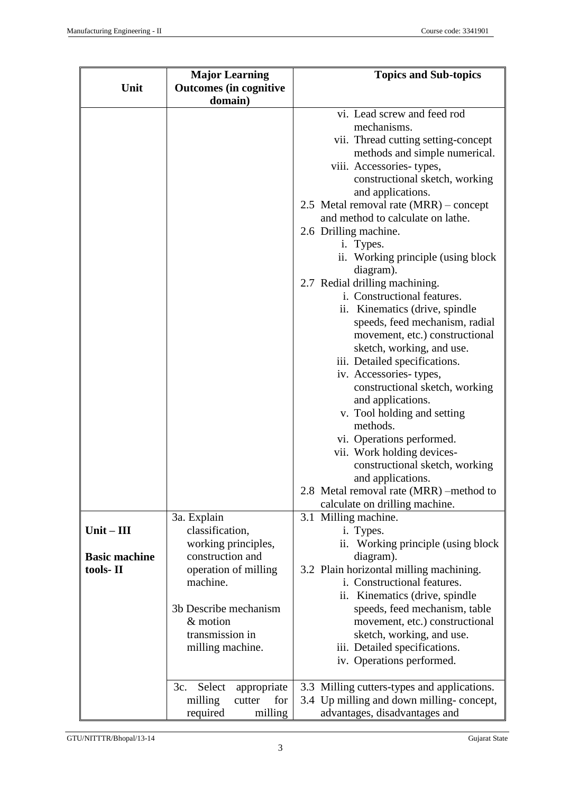|                      | <b>Major Learning</b>                    | <b>Topics and Sub-topics</b>                                     |  |  |  |
|----------------------|------------------------------------------|------------------------------------------------------------------|--|--|--|
| Unit                 | <b>Outcomes</b> (in cognitive<br>domain) |                                                                  |  |  |  |
|                      |                                          | vi. Lead screw and feed rod                                      |  |  |  |
|                      |                                          | mechanisms.                                                      |  |  |  |
|                      |                                          | vii. Thread cutting setting-concept                              |  |  |  |
|                      |                                          | methods and simple numerical.                                    |  |  |  |
|                      |                                          | viii. Accessories-types,                                         |  |  |  |
|                      |                                          | constructional sketch, working                                   |  |  |  |
|                      |                                          | and applications.                                                |  |  |  |
|                      |                                          | 2.5 Metal removal rate (MRR) – concept                           |  |  |  |
|                      |                                          | and method to calculate on lathe.                                |  |  |  |
|                      |                                          | 2.6 Drilling machine.                                            |  |  |  |
|                      |                                          | i. Types.                                                        |  |  |  |
|                      |                                          | ii. Working principle (using block                               |  |  |  |
|                      |                                          | diagram).                                                        |  |  |  |
|                      |                                          | 2.7 Redial drilling machining.<br>i. Constructional features.    |  |  |  |
|                      |                                          |                                                                  |  |  |  |
|                      |                                          | ii. Kinematics (drive, spindle<br>speeds, feed mechanism, radial |  |  |  |
|                      |                                          | movement, etc.) constructional                                   |  |  |  |
|                      |                                          | sketch, working, and use.                                        |  |  |  |
|                      |                                          | iii. Detailed specifications.                                    |  |  |  |
|                      |                                          | iv. Accessories-types,                                           |  |  |  |
|                      |                                          | constructional sketch, working                                   |  |  |  |
|                      |                                          | and applications.                                                |  |  |  |
|                      |                                          | v. Tool holding and setting                                      |  |  |  |
|                      |                                          | methods.                                                         |  |  |  |
|                      |                                          | vi. Operations performed.                                        |  |  |  |
|                      |                                          | vii. Work holding devices-                                       |  |  |  |
|                      |                                          | constructional sketch, working                                   |  |  |  |
|                      |                                          | and applications.                                                |  |  |  |
|                      |                                          | 2.8 Metal removal rate (MRR) -method to                          |  |  |  |
|                      |                                          | calculate on drilling machine.<br>3.1 Milling machine.           |  |  |  |
| $Unit - III$         | 3a. Explain<br>classification,           | i. Types.                                                        |  |  |  |
|                      | working principles,                      | ii. Working principle (using block)                              |  |  |  |
| <b>Basic machine</b> | construction and                         | diagram).                                                        |  |  |  |
| tools-II             | operation of milling                     | 3.2 Plain horizontal milling machining.                          |  |  |  |
|                      | machine.                                 | i. Constructional features.                                      |  |  |  |
|                      |                                          | ii. Kinematics (drive, spindle                                   |  |  |  |
|                      | 3b Describe mechanism                    | speeds, feed mechanism, table                                    |  |  |  |
|                      | & motion                                 | movement, etc.) constructional                                   |  |  |  |
|                      | transmission in                          | sketch, working, and use.                                        |  |  |  |
|                      | milling machine.                         | iii. Detailed specifications.                                    |  |  |  |
|                      |                                          | iv. Operations performed.                                        |  |  |  |
|                      | Select<br>3c.<br>appropriate             | 3.3 Milling cutters-types and applications.                      |  |  |  |
|                      | for<br>milling<br>cutter                 | 3.4 Up milling and down milling-concept,                         |  |  |  |
|                      | milling<br>required                      | advantages, disadvantages and                                    |  |  |  |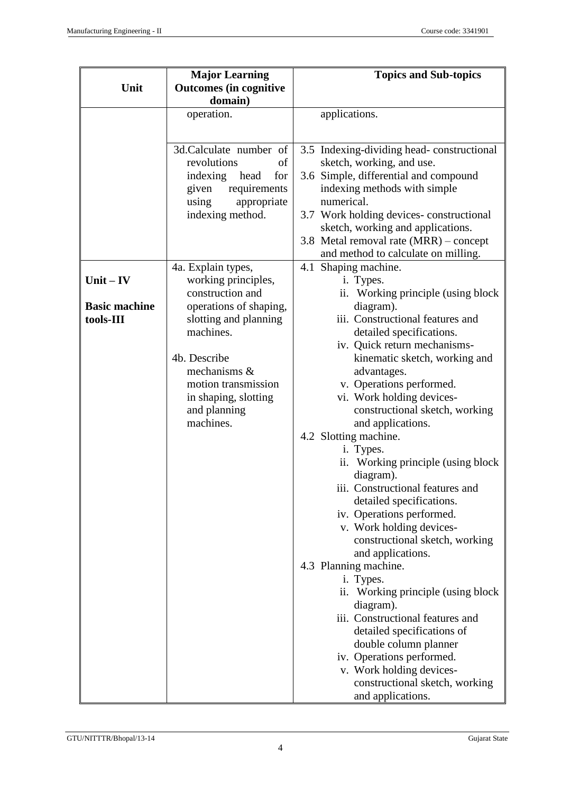|                      | <b>Major Learning</b>                    | <b>Topics and Sub-topics</b>                          |
|----------------------|------------------------------------------|-------------------------------------------------------|
| Unit                 | <b>Outcomes (in cognitive</b><br>domain) |                                                       |
|                      | operation.                               | applications.                                         |
|                      |                                          |                                                       |
|                      |                                          |                                                       |
|                      | 3d.Calculate number of                   | 3.5 Indexing-dividing head-constructional             |
|                      | revolutions<br>of                        | sketch, working, and use.                             |
|                      | indexing head<br>for                     | 3.6 Simple, differential and compound                 |
|                      | requirements<br>given                    | indexing methods with simple<br>numerical.            |
|                      | appropriate<br>using<br>indexing method. | 3.7 Work holding devices-constructional               |
|                      |                                          | sketch, working and applications.                     |
|                      |                                          | 3.8 Metal removal rate (MRR) – concept                |
|                      |                                          | and method to calculate on milling.                   |
|                      | 4a. Explain types,                       | 4.1 Shaping machine.                                  |
| $Unit - IV$          | working principles,                      | i. Types.                                             |
|                      | construction and                         | ii. Working principle (using block                    |
| <b>Basic machine</b> | operations of shaping,                   | diagram).                                             |
| tools-III            | slotting and planning                    | iii. Constructional features and                      |
|                      | machines.                                | detailed specifications.                              |
|                      |                                          | iv. Quick return mechanisms-                          |
|                      | 4b. Describe                             | kinematic sketch, working and                         |
|                      | mechanisms &<br>motion transmission      | advantages.<br>v. Operations performed.               |
|                      | in shaping, slotting                     | vi. Work holding devices-                             |
|                      | and planning                             | constructional sketch, working                        |
|                      | machines.                                | and applications.                                     |
|                      |                                          | 4.2 Slotting machine.                                 |
|                      |                                          | i. Types.                                             |
|                      |                                          | ii. Working principle (using block)                   |
|                      |                                          | diagram).                                             |
|                      |                                          | iii. Constructional features and                      |
|                      |                                          | detailed specifications.                              |
|                      |                                          | iv. Operations performed.<br>v. Work holding devices- |
|                      |                                          | constructional sketch, working                        |
|                      |                                          | and applications.                                     |
|                      |                                          | 4.3 Planning machine.                                 |
|                      |                                          | i. Types.                                             |
|                      |                                          | ii. Working principle (using block                    |
|                      |                                          | diagram).                                             |
|                      |                                          | iii. Constructional features and                      |
|                      |                                          | detailed specifications of                            |
|                      |                                          | double column planner                                 |
|                      |                                          | iv. Operations performed.<br>v. Work holding devices- |
|                      |                                          | constructional sketch, working                        |
|                      |                                          | and applications.                                     |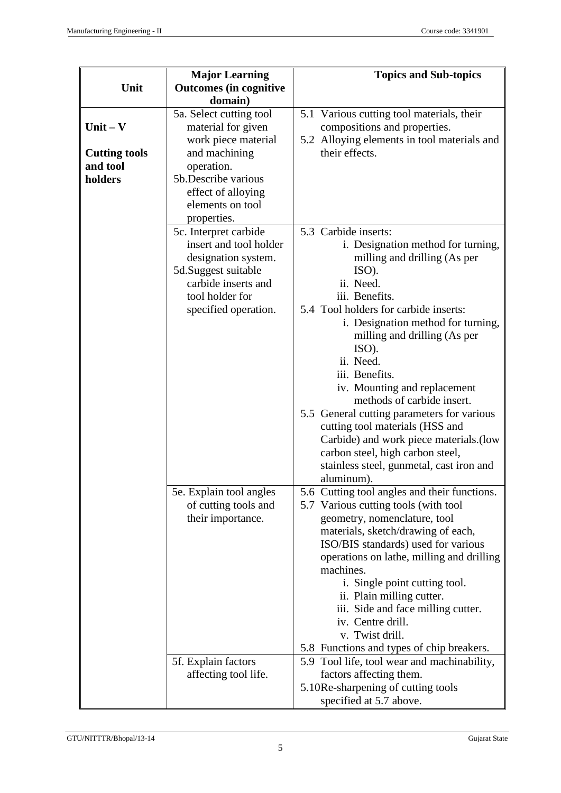|                      | <b>Major Learning</b>         | <b>Topics and Sub-topics</b>                                               |
|----------------------|-------------------------------|----------------------------------------------------------------------------|
| Unit                 | <b>Outcomes</b> (in cognitive |                                                                            |
|                      | domain)                       |                                                                            |
|                      | 5a. Select cutting tool       | 5.1 Various cutting tool materials, their                                  |
| $Unit - V$           | material for given            | compositions and properties.                                               |
|                      | work piece material           | 5.2 Alloying elements in tool materials and                                |
| <b>Cutting tools</b> | and machining                 | their effects.                                                             |
| and tool             | operation.                    |                                                                            |
| holders              | 5b.Describe various           |                                                                            |
|                      | effect of alloying            |                                                                            |
|                      | elements on tool              |                                                                            |
|                      | properties.                   |                                                                            |
|                      | 5c. Interpret carbide         | 5.3 Carbide inserts:                                                       |
|                      | insert and tool holder        | i. Designation method for turning,                                         |
|                      | designation system.           | milling and drilling (As per                                               |
|                      | 5d.Suggest suitable           | ISO).                                                                      |
|                      | carbide inserts and           | ii. Need.                                                                  |
|                      | tool holder for               | iii. Benefits.                                                             |
|                      | specified operation.          | 5.4 Tool holders for carbide inserts:                                      |
|                      |                               | i. Designation method for turning,                                         |
|                      |                               | milling and drilling (As per                                               |
|                      |                               | ISO).                                                                      |
|                      |                               | ii. Need.                                                                  |
|                      |                               | iii. Benefits.                                                             |
|                      |                               | iv. Mounting and replacement<br>methods of carbide insert.                 |
|                      |                               |                                                                            |
|                      |                               | 5.5 General cutting parameters for various                                 |
|                      |                               | cutting tool materials (HSS and<br>Carbide) and work piece materials. (low |
|                      |                               | carbon steel, high carbon steel,                                           |
|                      |                               | stainless steel, gunmetal, cast iron and                                   |
|                      |                               | aluminum).                                                                 |
|                      | 5e. Explain tool angles       | 5.6 Cutting tool angles and their functions.                               |
|                      | of cutting tools and          | 5.7 Various cutting tools (with tool                                       |
|                      | their importance.             | geometry, nomenclature, tool                                               |
|                      |                               | materials, sketch/drawing of each,                                         |
|                      |                               | ISO/BIS standards) used for various                                        |
|                      |                               | operations on lathe, milling and drilling                                  |
|                      |                               | machines.                                                                  |
|                      |                               | i. Single point cutting tool.                                              |
|                      |                               | ii. Plain milling cutter.                                                  |
|                      |                               | iii. Side and face milling cutter.                                         |
|                      |                               | iv. Centre drill.                                                          |
|                      |                               | v. Twist drill.                                                            |
|                      |                               | 5.8 Functions and types of chip breakers.                                  |
|                      | 5f. Explain factors           | 5.9 Tool life, tool wear and machinability,                                |
|                      | affecting tool life.          | factors affecting them.                                                    |
|                      |                               | 5.10Re-sharpening of cutting tools                                         |
|                      |                               | specified at 5.7 above.                                                    |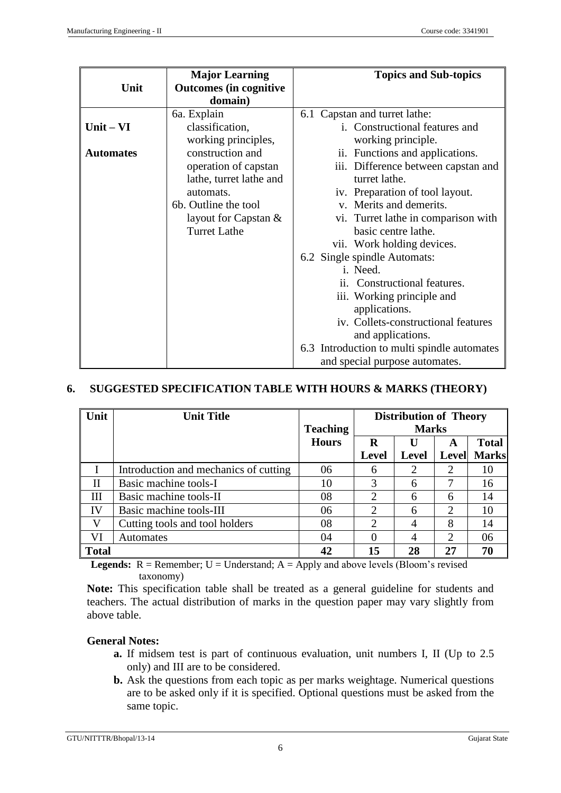| Unit             | <b>Major Learning</b><br><b>Outcomes</b> (in cognitive | <b>Topics and Sub-topics</b>                |
|------------------|--------------------------------------------------------|---------------------------------------------|
|                  | domain)                                                |                                             |
|                  | 6a. Explain                                            | 6.1 Capstan and turret lathe:               |
| $Unit - VI$      | classification,                                        | i. Constructional features and              |
|                  | working principles,                                    | working principle.                          |
| <b>Automates</b> | construction and                                       | ii. Functions and applications.             |
|                  | operation of capstan                                   | iii. Difference between capstan and         |
|                  | lathe, turret lathe and                                | turret lathe.                               |
|                  | automats.                                              | iv. Preparation of tool layout.             |
|                  | 6b. Outline the tool                                   | v. Merits and demerits.                     |
|                  | layout for Capstan &                                   | vi. Turret lathe in comparison with         |
|                  | <b>Turret Lathe</b>                                    | basic centre lathe.                         |
|                  |                                                        | vii. Work holding devices.                  |
|                  |                                                        | 6.2 Single spindle Automats:                |
|                  |                                                        | i. Need.                                    |
|                  |                                                        | ii. Constructional features.                |
|                  |                                                        | iii. Working principle and                  |
|                  |                                                        | applications.                               |
|                  |                                                        | iv. Collets-constructional features         |
|                  |                                                        | and applications.                           |
|                  |                                                        | 6.3 Introduction to multi spindle automates |
|                  |                                                        | and special purpose automates.              |

#### **6. SUGGESTED SPECIFICATION TABLE WITH HOURS & MARKS (THEORY)**

| Unit         | <b>Unit Title</b>                     |                 | <b>Distribution of Theory</b> |                |                             |              |
|--------------|---------------------------------------|-----------------|-------------------------------|----------------|-----------------------------|--------------|
|              |                                       | <b>Teaching</b> | <b>Marks</b>                  |                |                             |              |
|              |                                       | <b>Hours</b>    | R                             | U              | A                           | <b>Total</b> |
|              |                                       |                 | <b>Level</b>                  | <b>Level</b>   | <b>Level</b>                | <b>Marks</b> |
|              | Introduction and mechanics of cutting | 06              | 6                             | $\overline{2}$ | ↑                           | 10           |
| Н            | Basic machine tools-I                 | 10              | 3                             | 6              |                             | 16           |
| Ш            | Basic machine tools-II                | 08              | 2                             | 6              | 6                           | 14           |
| IV           | Basic machine tools-III               | 06              | $\overline{2}$                | 6              | $\mathcal{D}_{\mathcal{L}}$ | 10           |
| V            | Cutting tools and tool holders        | 08              | 2                             | 4              | 8                           | 14           |
| VI           | <b>Automates</b>                      | 04              |                               | 4              | $\mathcal{D}_{\mathcal{A}}$ | 06           |
| <b>Total</b> |                                       | 42              | 15                            | 28             |                             | 70           |

**Legends:**  $R =$  Remember;  $U =$  Understand;  $A =$  Apply and above levels (Bloom's revised taxonomy)

**Note:** This specification table shall be treated as a general guideline for students and teachers. The actual distribution of marks in the question paper may vary slightly from above table.

### **General Notes:**

- **a.** If midsem test is part of continuous evaluation, unit numbers I, II (Up to 2.5 only) and III are to be considered.
- **b.** Ask the questions from each topic as per marks weightage. Numerical questions are to be asked only if it is specified. Optional questions must be asked from the same topic.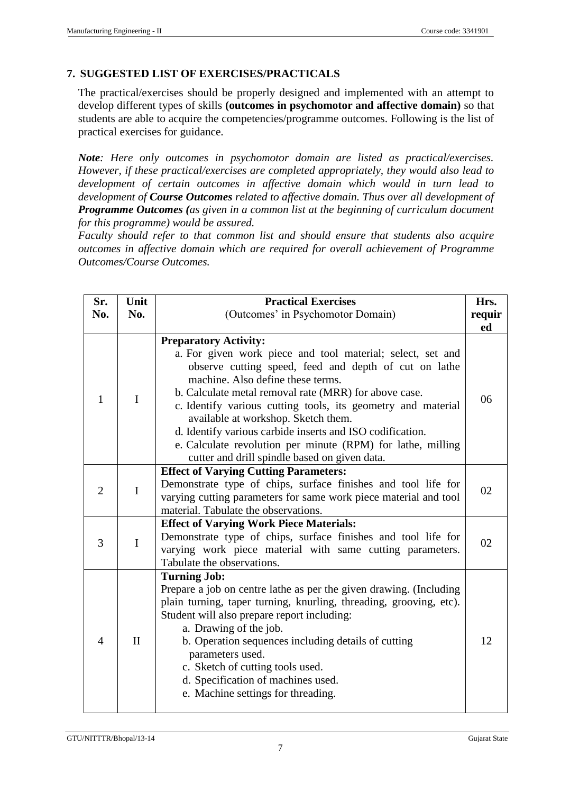# **7. SUGGESTED LIST OF EXERCISES/PRACTICALS**

The practical/exercises should be properly designed and implemented with an attempt to develop different types of skills **(outcomes in psychomotor and affective domain)** so that students are able to acquire the competencies/programme outcomes. Following is the list of practical exercises for guidance.

*Note: Here only outcomes in psychomotor domain are listed as practical/exercises. However, if these practical/exercises are completed appropriately, they would also lead to development of certain outcomes in affective domain which would in turn lead to development of Course Outcomes related to affective domain. Thus over all development of Programme Outcomes (as given in a common list at the beginning of curriculum document for this programme) would be assured.* 

*Faculty should refer to that common list and should ensure that students also acquire outcomes in affective domain which are required for overall achievement of Programme Outcomes/Course Outcomes.*

| Sr.<br>No.     | Unit<br>No.  | <b>Practical Exercises</b><br>(Outcomes' in Psychomotor Domain)                                                                                                                                                                                                                                                                                                                                                                                                                                                                       |    |
|----------------|--------------|---------------------------------------------------------------------------------------------------------------------------------------------------------------------------------------------------------------------------------------------------------------------------------------------------------------------------------------------------------------------------------------------------------------------------------------------------------------------------------------------------------------------------------------|----|
| $\mathbf{1}$   | $\mathbf I$  | <b>Preparatory Activity:</b><br>a. For given work piece and tool material; select, set and<br>observe cutting speed, feed and depth of cut on lathe<br>machine. Also define these terms.<br>b. Calculate metal removal rate (MRR) for above case.<br>c. Identify various cutting tools, its geometry and material<br>available at workshop. Sketch them.<br>d. Identify various carbide inserts and ISO codification.<br>e. Calculate revolution per minute (RPM) for lathe, milling<br>cutter and drill spindle based on given data. | 06 |
| $\overline{2}$ | $\mathbf I$  | <b>Effect of Varying Cutting Parameters:</b><br>Demonstrate type of chips, surface finishes and tool life for<br>varying cutting parameters for same work piece material and tool<br>material. Tabulate the observations.                                                                                                                                                                                                                                                                                                             | 02 |
| 3              | $\mathbf I$  | <b>Effect of Varying Work Piece Materials:</b><br>Demonstrate type of chips, surface finishes and tool life for<br>varying work piece material with same cutting parameters.<br>Tabulate the observations.                                                                                                                                                                                                                                                                                                                            | 02 |
| $\overline{4}$ | $\mathbf{I}$ | <b>Turning Job:</b><br>Prepare a job on centre lathe as per the given drawing. (Including<br>plain turning, taper turning, knurling, threading, grooving, etc).<br>Student will also prepare report including:<br>a. Drawing of the job.<br>b. Operation sequences including details of cutting<br>parameters used.<br>c. Sketch of cutting tools used.<br>d. Specification of machines used.<br>e. Machine settings for threading.                                                                                                   | 12 |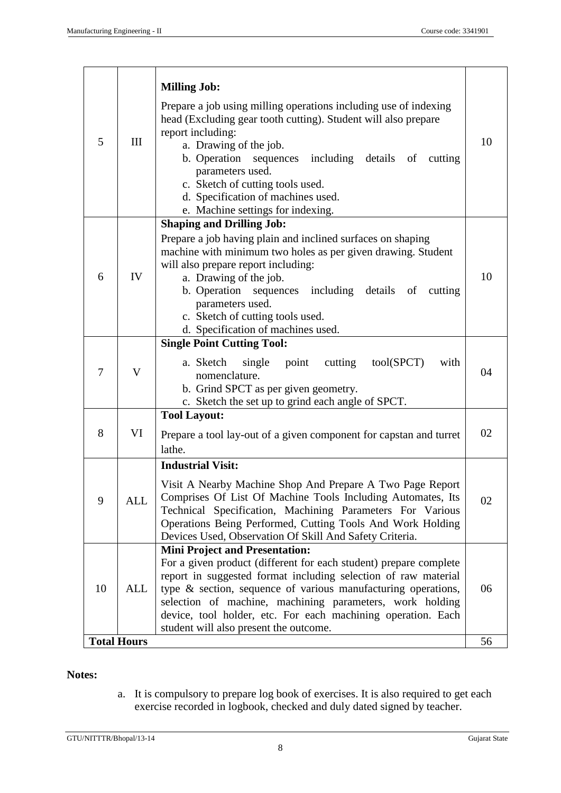| 5  | III                | <b>Milling Job:</b><br>Prepare a job using milling operations including use of indexing<br>head (Excluding gear tooth cutting). Student will also prepare<br>report including:<br>a. Drawing of the job.<br>b. Operation sequences including details of<br>cutting<br>parameters used.<br>c. Sketch of cutting tools used.<br>d. Specification of machines used.<br>e. Machine settings for indexing.                     | 10 |
|----|--------------------|---------------------------------------------------------------------------------------------------------------------------------------------------------------------------------------------------------------------------------------------------------------------------------------------------------------------------------------------------------------------------------------------------------------------------|----|
| 6  | IV                 | <b>Shaping and Drilling Job:</b><br>Prepare a job having plain and inclined surfaces on shaping<br>machine with minimum two holes as per given drawing. Student<br>will also prepare report including:<br>a. Drawing of the job.<br>b. Operation sequences including details of<br>cutting<br>parameters used.<br>c. Sketch of cutting tools used.<br>d. Specification of machines used.                                  | 10 |
| 7  | V                  | <b>Single Point Cutting Tool:</b><br>tool(SPCT)<br>cutting<br>a. Sketch<br>single<br>point<br>with<br>nomenclature.<br>b. Grind SPCT as per given geometry.<br>c. Sketch the set up to grind each angle of SPCT.                                                                                                                                                                                                          | 04 |
| 8  | VI                 | <b>Tool Layout:</b><br>Prepare a tool lay-out of a given component for capstan and turret<br>lathe.                                                                                                                                                                                                                                                                                                                       | 02 |
| 9  | <b>ALL</b>         | <b>Industrial Visit:</b><br>Visit A Nearby Machine Shop And Prepare A Two Page Report<br>Comprises Of List Of Machine Tools Including Automates, Its<br>Technical Specification, Machining Parameters For Various<br>Operations Being Performed, Cutting Tools And Work Holding<br>Devices Used, Observation Of Skill And Safety Criteria.                                                                                | 02 |
| 10 | ALL                | <b>Mini Project and Presentation:</b><br>For a given product (different for each student) prepare complete<br>report in suggested format including selection of raw material<br>type & section, sequence of various manufacturing operations,<br>06<br>selection of machine, machining parameters, work holding<br>device, tool holder, etc. For each machining operation. Each<br>student will also present the outcome. |    |
|    | <b>Total Hours</b> |                                                                                                                                                                                                                                                                                                                                                                                                                           | 56 |

# **Notes:**

a. It is compulsory to prepare log book of exercises. It is also required to get each exercise recorded in logbook, checked and duly dated signed by teacher.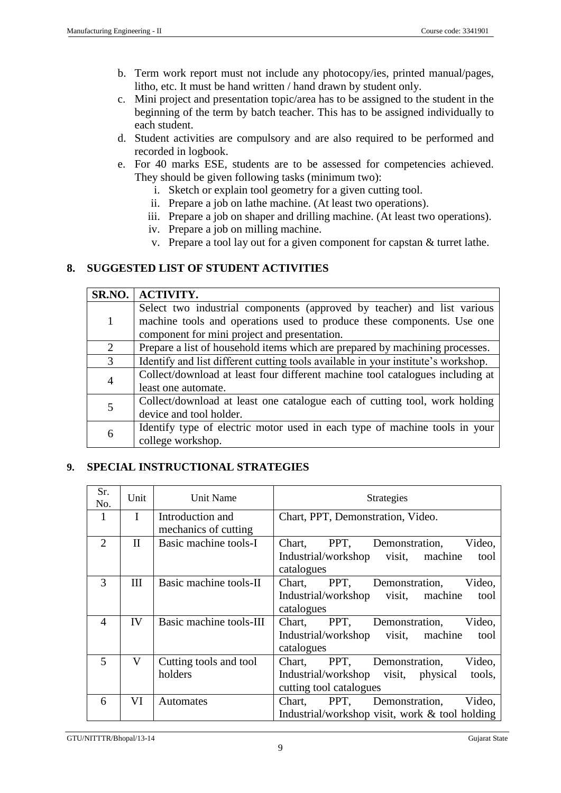- b. Term work report must not include any photocopy/ies, printed manual/pages, litho, etc. It must be hand written / hand drawn by student only.
- c. Mini project and presentation topic/area has to be assigned to the student in the beginning of the term by batch teacher. This has to be assigned individually to each student.
- d. Student activities are compulsory and are also required to be performed and recorded in logbook.
- e. For 40 marks ESE, students are to be assessed for competencies achieved. They should be given following tasks (minimum two):
	- i. Sketch or explain tool geometry for a given cutting tool.
	- ii. Prepare a job on lathe machine. (At least two operations).
	- iii. Prepare a job on shaper and drilling machine. (At least two operations).
	- iv. Prepare a job on milling machine.
	- v. Prepare a tool lay out for a given component for capstan & turret lathe.

# **8. SUGGESTED LIST OF STUDENT ACTIVITIES**

| SR.NO.         | <b>ACTIVITY.</b>                                                                  |  |  |
|----------------|-----------------------------------------------------------------------------------|--|--|
|                | Select two industrial components (approved by teacher) and list various           |  |  |
| 1              | machine tools and operations used to produce these components. Use one            |  |  |
|                | component for mini project and presentation.                                      |  |  |
| 2              | Prepare a list of household items which are prepared by machining processes.      |  |  |
| 3              | Identify and list different cutting tools available in your institute's workshop. |  |  |
| $\overline{4}$ | Collect/download at least four different machine tool catalogues including at     |  |  |
|                | least one automate.                                                               |  |  |
| 5              | Collect/download at least one catalogue each of cutting tool, work holding        |  |  |
|                | device and tool holder.                                                           |  |  |
| 6              | Identify type of electric motor used in each type of machine tools in your        |  |  |
|                | college workshop.                                                                 |  |  |

# **9. SPECIAL INSTRUCTIONAL STRATEGIES**

| Sr.<br>No.     | Unit         | Unit Name                                | <b>Strategies</b>                                                                                                         |  |  |
|----------------|--------------|------------------------------------------|---------------------------------------------------------------------------------------------------------------------------|--|--|
| 1              | $\mathbf{I}$ | Introduction and<br>mechanics of cutting | Chart, PPT, Demonstration, Video.                                                                                         |  |  |
| $\overline{2}$ | $\mathbf{I}$ | Basic machine tools-I                    | PPT,<br>Demonstration,<br>Video,<br>Chart,<br>visit,<br>Industrial/workshop<br>machine<br>tool<br>catalogues              |  |  |
| 3              | Ш            | Basic machine tools-II                   | PPT,<br>Video,<br>Chart,<br>Demonstration,<br>visit,<br>Industrial/workshop<br>machine<br>tool<br>catalogues              |  |  |
| $\overline{4}$ | IV           | Basic machine tools-III                  | PPT,<br>Video,<br>Chart,<br>Demonstration,<br>visit,<br>machine<br>Industrial/workshop<br>tool<br>catalogues              |  |  |
| 5              | V            | Cutting tools and tool<br>holders        | PPT,<br>Demonstration,<br>Video,<br>Chart,<br>Industrial/workshop visit,<br>physical<br>tools,<br>cutting tool catalogues |  |  |
| 6              | VI           | <b>Automates</b>                         | PPT.<br>Chart,<br>Demonstration,<br>Video,<br>Industrial/workshop visit, work $\&$ tool holding                           |  |  |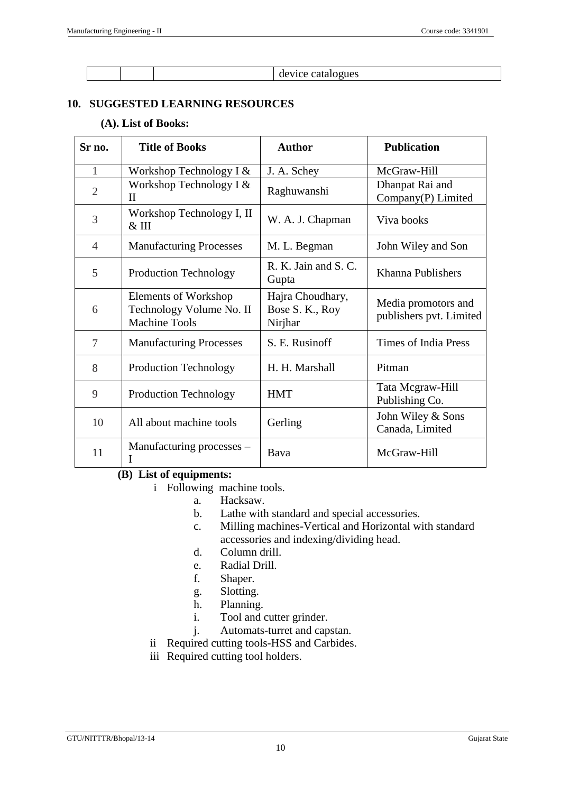device catalogues

# **10. SUGGESTED LEARNING RESOURCES**

### **(A). List of Books:**

| Sr no.         | <b>Title of Books</b>                                                    | <b>Author</b>                                  | <b>Publication</b>                             |
|----------------|--------------------------------------------------------------------------|------------------------------------------------|------------------------------------------------|
| 1              | Workshop Technology I $&$                                                | J. A. Schey                                    | McGraw-Hill                                    |
| $\overline{2}$ | Workshop Technology I $&$<br>$\rm II$                                    | Raghuwanshi                                    | Dhanpat Rai and<br>Company(P) Limited          |
| 3              | Workshop Technology I, II<br>$\&$ III                                    | W. A. J. Chapman                               | Viva books                                     |
| $\overline{4}$ | <b>Manufacturing Processes</b>                                           | M. L. Begman                                   | John Wiley and Son                             |
| 5              | <b>Production Technology</b>                                             | R. K. Jain and S. C.<br>Gupta                  | Khanna Publishers                              |
| 6              | Elements of Workshop<br>Technology Volume No. II<br><b>Machine Tools</b> | Hajra Choudhary,<br>Bose S. K., Roy<br>Nirjhar | Media promotors and<br>publishers pvt. Limited |
| 7              | <b>Manufacturing Processes</b>                                           | S. E. Rusinoff                                 | Times of India Press                           |
| 8              | <b>Production Technology</b>                                             | H. H. Marshall                                 | Pitman                                         |
| 9              | <b>Production Technology</b>                                             | <b>HMT</b>                                     | Tata Mcgraw-Hill<br>Publishing Co.             |
| 10             | All about machine tools                                                  | Gerling                                        | John Wiley & Sons<br>Canada, Limited           |
| 11             | Manufacturing processes –<br>I                                           | Bava                                           | McGraw-Hill                                    |

# **(B) List of equipments:**

- i Following machine tools.
	- a. Hacksaw.
	- b. Lathe with standard and special accessories.
	- c. Milling machines-Vertical and Horizontal with standard accessories and indexing/dividing head.
	- d. Column drill.
	- e. Radial Drill.
	- f. Shaper.
	- g. Slotting.
	- h. Planning.
	- i. Tool and cutter grinder.
	- j. Automats-turret and capstan.
- ii Required cutting tools-HSS and Carbides.
- iii Required cutting tool holders.